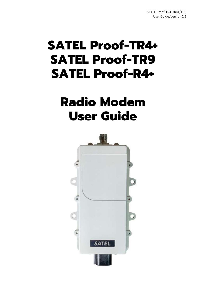# **SATEL Proof-TR4+ SATEL Proof-TR9 SATEL Proof-R4+**

## **Radio Modem User Guide**

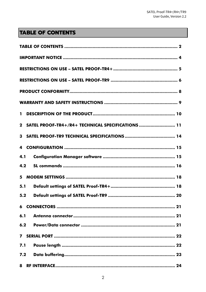## **TABLE OF CONTENTS**

| $\mathbf{1}$ |                                                     |
|--------------|-----------------------------------------------------|
|              | 2 SATEL PROOF-TR4+/R4+ TECHNICAL SPECIFICATIONS  11 |
|              |                                                     |
|              |                                                     |
| 4.1          |                                                     |
| 4.2          |                                                     |
|              |                                                     |
| 5.1          |                                                     |
| 5.2          |                                                     |
|              |                                                     |
| 6.1          |                                                     |
| 6.2          |                                                     |
| $\mathbf{7}$ |                                                     |
| 7.1          |                                                     |
| 7.2          |                                                     |
| 8            |                                                     |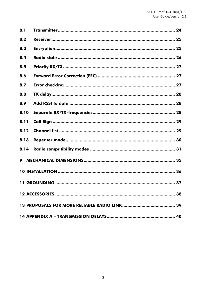| 8.1  |                    |
|------|--------------------|
| 8.2  |                    |
| 8.3  |                    |
| 8.4  |                    |
| 8.5  |                    |
| 8.6  |                    |
| 8.7  |                    |
| 8.8  |                    |
| 8.9  |                    |
| 8.10 |                    |
| 8.11 |                    |
| 8.12 |                    |
| 8.13 |                    |
| 8.14 |                    |
| 9    |                    |
|      |                    |
|      | 11 GROUNDING<br>37 |
|      |                    |
|      |                    |
|      |                    |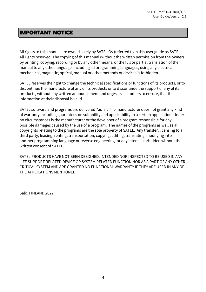## **IMPORTANT NOTICE**

All rights to this manual are owned solely by SATEL Oy (referred to in this user guide as SATEL). All rights reserved. The copying of this manual (without the written permission from the owner) by printing, copying, recording or by any other means, or the full or partial translation of the manual to any other language, including all programming languages, using any electrical, mechanical, magnetic, optical, manual or other methods or devices is forbidden.

SATEL reserves the right to change the technical specifications or functions of its products, or to discontinue the manufacture of any of its products or to discontinue the support of any of its products, without any written announcement and urges its customers to ensure, that the information at their disposal is valid.

SATEL software and programs are delivered "as is". The manufacturer does not grant any kind of warranty including guarantees on suitability and applicability to a certain application. Under no circumstances is the manufacturer or the developer of a program responsible for any possible damages caused by the use of a program. The names of the programs as well as all copyrights relating to the programs are the sole property of SATEL. Any transfer, licensing to a third party, leasing, renting, transportation, copying, editing, translating, modifying into another programming language or reverse engineering for any intent is forbidden without the written consent of SATEL.

SATEL PRODUCTS HAVE NOT BEEN DESIGNED, INTENDED NOR INSPECTED TO BE USED IN ANY LIFE SUPPORT RELATED DEVICE OR SYSTEM RELATED FUNCTION NOR AS A PART OF ANY OTHER CRITICAL SYSTEM AND ARE GRANTED NO FUNCTIONAL WARRANTY IF THEY ARE USED IN ANY OF THE APPLICATIONS MENTIONED.

Salo, FINLAND 2022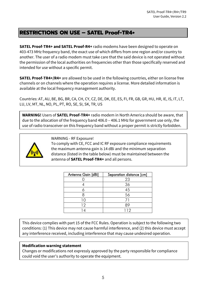## **RESTRICTIONS ON USE – SATEL Proof-TR4+**

**SATEL Proof-TR4+ and SATEL Proof-R4+** radio modems have been designed to operate on 403-473 MHz frequency band, the exact use of which differs from one region and/or country to another. The user of a radio modem must take care that the said device is not operated without the permission of the local authorities on frequencies other than those specifically reserved and intended for use without a specific permit.

**SATEL Proof-TR4+/R4+** are allowed to be used in the following countries, either on license free channels or on channels where the operation requires a license. More detailed information is available at the local frequency management authority.

Countries: AT, AU, BE, BG, BR, CA, CH, CY, CZ, DE, DK, EE, ES, FI, FR, GB, GR, HU, HR, IE, IS, IT, LT, LU, LV, MT, NL, NO, PL, PT, RO, SE, SI, SK, TR, US

**WARNING!** Users of **SATEL Proof-TR4+** radio modem in North America should be aware, that due to the allocation of the frequency band 406.0 – 406.1 MHz for government use only, the use of radio transceiver on this frequency band without a proper permit is strictly forbidden.



WARNING - RF Exposure!

To comply with CE, FCC and IC RF exposure compliance requirements the maximum antenna gain is 14 dBi and the minimum separation distance (listed in the table below) must be maintained between the antenna of **SATEL Proof-TR4+** and all persons.

| Antenna Gain [dBi] | Separation distance [cm] |
|--------------------|--------------------------|
|                    | 23                       |
|                    | 36                       |
|                    | 45                       |
|                    | 56                       |
|                    |                          |
| 12                 | 89                       |
|                    | 112                      |

This device complies with part 15 of the FCC Rules. Operation is subject to the following two conditions: (1) This device may not cause harmful interference, and (2) this device must accept any interference received, including interference that may cause undesired operation.

#### **Modification warning statement**

Changes or modifications not expressly approved by the party responsible for compliance could void the user's authority to operate the equipment.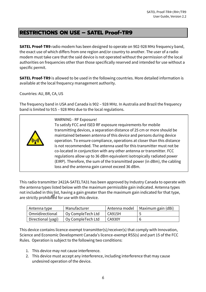## **RESTRICTIONS ON USE – SATEL Proof-TR9**

**SATEL Proof-TR9** radio modem has been designed to operate on 902-928 MHz frequency band, the exact use of which differs from one region and/or country to another. The user of a radio modem must take care that the said device is not operated without the permission of the local authorities on frequencies other than those specifically reserved and intended for use without a specific permit.

**SATEL Proof-TR9** is allowed to be used in the following countries. More detailed information is available at the local frequency management authority.

Countries: AU, BR, CA, US

The frequency band in USA and Canada is 902 – 928 MHz. In Australia and Brazil the frequency band is limited to 915 – 928 MHz due to the local regulations.



WARNING - RF Exposure!

To satisfy FCC and ISED RF exposure requirements for mobile transmitting devices, a separation distance of 25 cm or more should be maintained between antenna of this device and persons during device operation. To ensure compliance, operations at closer than this distance is not recommended. The antenna used for this transmitter must not be co-located in conjunction with any other antenna or transmitter. FCC regulations allow up to 36 dBm equivalent isotropically radiated power (EIRP). Therefore, the sum of the transmitted power (in dBm), the cabling loss and the antenna gain cannot exceed 36 dBm.

This radio transmitter 2422A-SATELTA31 has been approved by Industry Canada to operate with the antenna types listed below with the maximum permissible gain indicated. Antenna types not included in this list, having a gain greater than the maximum gain indicated for that type, are strictly prohibited for use with this device.

| Antenna type       | Manufacturer      | l Antenna model | Maximum gain (dBi) |
|--------------------|-------------------|-----------------|--------------------|
| Omnidirectional    | Oy CompleTech Ltd | <b>CA915H</b>   |                    |
| Directional (yagi) | Oy CompleTech Ltd | <b>CA930Y</b>   |                    |

This device contains licence-exempt transmitter(s)/receiver(s) that comply with Innovation, Science and Economic Development Canada's licence-exempt RSS(s) and part 15 of the FCC Rules. Operation is subject to the following two conditions:

- 1. This device may not cause interference.
- 2. This device must accept any interference, including interference that may cause undesired operation of the device.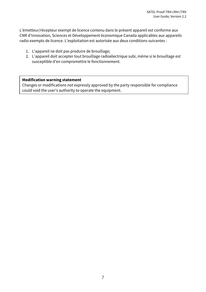L'émetteur/récepteur exempt de licence contenu dans le présent appareil est conforme aux CNR d'Innovation, Sciences et Développement économique Canada applicables aux appareils radio exempts de licence. L'exploitation est autorisée aux deux conditions suivantes :

- 1. L'appareil ne doit pas produire de brouillage;
- 2. L'appareil doit accepter tout brouillage radioélectrique subi, même si le brouillage est susceptible d'en compromettre le fonctionnement.

#### **Modification warning statement**

Changes or modifications not expressly approved by the party responsible for compliance could void the user's authority to operate the equipment.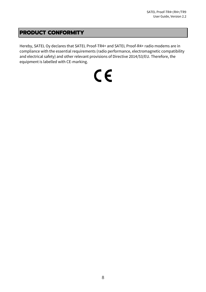## **PRODUCT CONFORMITY**

Hereby, SATEL Oy declares that SATEL Proof-TR4+ and SATEL Proof-R4+ radio modems are in compliance with the essential requirements (radio performance, electromagnetic compatibility and electrical safety) and other relevant provisions of Directive 2014/53/EU. Therefore, the equipment is labelled with CE-marking.

# $C \in$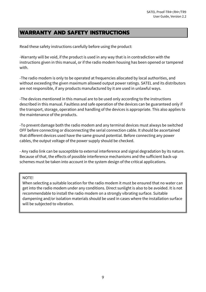## **WARRANTY AND SAFETY INSTRUCTIONS**

Read these safety instructions carefully before using the product:

-Warranty will be void, if the product is used in any way that is in contradiction with the instructions given in this manual, or if the radio modem housing has been opened or tampered with.

-The radio modem is only to be operated at frequencies allocated by local authorities, and without exceeding the given maximum allowed output power ratings. SATEL and its distributors are not responsible, if any products manufactured by it are used in unlawful ways.

-The devices mentioned in this manual are to be used only according to the instructions described in this manual. Faultless and safe operation of the devices can be guaranteed only if the transport, storage, operation and handling of the devices is appropriate. This also applies to the maintenance of the products.

-To prevent damage both the radio modem and any terminal devices must always be switched OFF before connecting or disconnecting the serial connection cable. It should be ascertained that different devices used have the same ground potential. Before connecting any power cables, the output voltage of the power supply should be checked.

- Any radio link can be susceptible to external interference and signal degradation by its nature. Because of that, the effects of possible interference mechanisms and the sufficient back-up schemes must be taken into account in the system design of the critical applications.

#### NOTE!

When selecting a suitable location for the radio modem it must be ensured that no water can get into the radio modem under any conditions. Direct sunlight is also to be avoided. It is not recommendable to install the radio modem on a strongly vibrating surface. Suitable dampening and/or isolation materials should be used in cases where the installation surface will be subjected to vibration.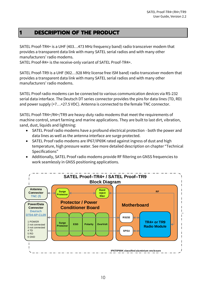## **1 DESCRIPTION OF THE PRODUCT**

SATEL Proof-TR4+ is a UHF (403…473 MHz frequency band) radio transceiver modem that provides a transparent data link with many SATEL serial radios and with many other manufacturers' radio modems.

SATEL Proof-R4+ is the receive-only variant of SATEL Proof-TR4+.

SATEL Proof-TR9 is a UHF (902…928 MHz license free ISM band) radio transceiver modem that provides a transparent data link with many SATEL serial radios and with many other manufacturers' radio modems.

SATEL Proof radio modems can be connected to various communication devices via RS-232 serial data interface. The Deutsch DT series connector provides the pins for data lines (TD, RD) and power supply (+7…+27.5 VDC). Antenna is connected to the female TNC connector.

SATEL Proof-TR4+/R4+/TR9 are heavy-duty radio modems that meet the requirements of machine control, smart farming and marine applications. They are built to last dirt, vibration, sand, dust, liquids and lightning:

- SATEL Proof radio modems have a profound electrical protection both the power and data lines as well as the antenna interface are surge protected.
- SATEL Proof radio modems are IP67/IP69K rated against ingress of dust and high temperature, high pressure water. See more detailed description on chapter "Technical Specifications"
- Additionally, SATEL Proof radio modems provide RF filtering on GNSS frequencies to work seamlessly in GNSS positioning applications.

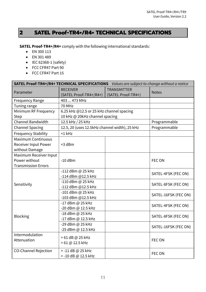## **2 SATEL Proof-TR4+/R4+ TECHNICAL SPECIFICATIONS**

**SATEL Proof-TR4+/R4+** comply with the following international standards:

- EN 300 113
- EN 301 489
- IEC 62368-1 (safety)
- FCC CFR47 Part 90
- FCC CFR47 Part 15

| SATEL Proof-TR4+/R4+ TECHNICAL SPECIFICATIONS Values are subject to change without a notice |                                                                                       |  |                      |  |
|---------------------------------------------------------------------------------------------|---------------------------------------------------------------------------------------|--|----------------------|--|
| Parameter                                                                                   | <b>RECEIVER</b><br><b>TRANSMITTER</b><br>(SATEL Proof-TR4+)<br>(SATEL Proof-TR4+/R4+) |  | <b>Notes</b>         |  |
| <b>Frequency Range</b>                                                                      | 403  473 MHz                                                                          |  |                      |  |
| Tuning range                                                                                | 70 MHz                                                                                |  |                      |  |
| Minimum RF Frequency                                                                        | 6.25 kHz @12.5 or 25 kHz channel spacing                                              |  |                      |  |
| Step                                                                                        | 10 kHz @ 20kHz channel spacing                                                        |  |                      |  |
| Channel Bandwidth                                                                           | 12.5 kHz / 25 kHz                                                                     |  | Programmable         |  |
| <b>Channel Spacing</b>                                                                      | 12.5, 20 (uses 12.5kHz channel width), 25 kHz                                         |  | Programmable         |  |
| <b>Frequency Stability</b>                                                                  | $<$ 1 kHz                                                                             |  |                      |  |
| <b>Maximum Continuous</b>                                                                   |                                                                                       |  |                      |  |
| <b>Receiver Input Power</b>                                                                 | +3 dBm                                                                                |  |                      |  |
| without Damage                                                                              |                                                                                       |  |                      |  |
| Maximum Receiver Input                                                                      |                                                                                       |  |                      |  |
| Power without                                                                               | $-10$ dBm                                                                             |  | FEC ON               |  |
| <b>Transmission Errors</b>                                                                  |                                                                                       |  |                      |  |
|                                                                                             | -112 dBm @ 25 kHz                                                                     |  | SATEL-4FSK (FEC ON)  |  |
|                                                                                             | -114 dBm @12.5 kHz                                                                    |  |                      |  |
| Sensitivity                                                                                 | -110 dBm @ 25 kHz                                                                     |  | SATEL-8FSK (FEC ON)  |  |
|                                                                                             | -112 dBm @12.5 kHz                                                                    |  |                      |  |
|                                                                                             | -101 dBm @ 25 kHz<br>-103 dBm @12.5 kHz                                               |  | SATEL-16FSK (FEC ON) |  |
|                                                                                             | -17 dBm @ 25 kHz                                                                      |  |                      |  |
|                                                                                             | -20 dBm @ 12.5 kHz                                                                    |  | SATEL-4FSK (FEC ON)  |  |
|                                                                                             | -18 dBm @ 25 kHz                                                                      |  |                      |  |
| Blocking                                                                                    | -17 dBm @ 12.5 kHz                                                                    |  | SATEL-8FSK (FEC ON)  |  |
|                                                                                             | -29 dBm @ 25 kHz                                                                      |  |                      |  |
|                                                                                             | -25 dBm @ 12.5 kHz                                                                    |  | SATEL-16FSK (FEC ON) |  |
| Intermodulation                                                                             | > 61 dB @ 25 kHz                                                                      |  |                      |  |
| Attenuation                                                                                 | > 61 @ 12.5 kHz                                                                       |  | FEC ON               |  |
|                                                                                             |                                                                                       |  |                      |  |
| <b>CO-Channel Rejection</b>                                                                 | > -11 dB @ 25 kHz                                                                     |  | FEC ON               |  |
|                                                                                             | > -10 dB @ 12.5 kHz                                                                   |  |                      |  |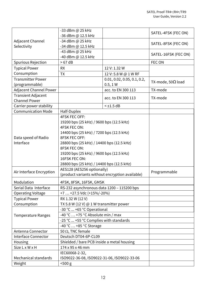|                                            | -33 dBm @ 25 kHz<br>-36 dBm @ 12.5 kHz                                                                                                                |                                         | SATEL-4FSK (FEC ON)       |
|--------------------------------------------|-------------------------------------------------------------------------------------------------------------------------------------------------------|-----------------------------------------|---------------------------|
| Adjacent Channel<br>Selectivity            | -34 dBm @ 25 kHz<br>-34 dBm @ 12.5 kHz                                                                                                                |                                         | SATEL-8FSK (FEC ON)       |
|                                            | -43 dBm @ 25 kHz<br>-40 dBm @ 12.5 kHz                                                                                                                |                                         | SATEL-16FSK (FEC ON)      |
| <b>Spurious Rejection</b>                  | >67 dB                                                                                                                                                |                                         | FEC ON                    |
| <b>Typical Power</b>                       | <b>RX</b>                                                                                                                                             | 12 V: 1.32 W                            |                           |
| Consumption                                | <b>TX</b>                                                                                                                                             | 12 V: 5.8 W @ 1 W RF                    |                           |
| <b>Transmitter Power</b><br>(programmable) |                                                                                                                                                       | 0.01, 0.02, 0.05, 0.1, 0.2,<br>0.5, 1 W | TX-mode, 50 $\Omega$ load |
| <b>Adjacent Channel Power</b>              |                                                                                                                                                       | acc. to EN 300 113                      | TX-mode                   |
| <b>Transient Adjacent</b>                  |                                                                                                                                                       |                                         |                           |
| <b>Channel Power</b>                       |                                                                                                                                                       | acc. to EN 300 113                      | TX-mode                   |
| Carrier power stability                    |                                                                                                                                                       | $<$ ±1.5 dB                             |                           |
| <b>Communication Mode</b>                  | Half-Duplex                                                                                                                                           |                                         |                           |
|                                            | <b>4FSK FEC OFF:</b><br>19200 bps (25 kHz) / 9600 bps (12.5 kHz)<br>4FSK FEC ON:<br>14400 bps (25 kHz) / 7200 bps (12.5 kHz)                          |                                         |                           |
| Data speed of Radio<br>Interface           | <b>8FSK FEC OFF:</b><br>28800 bps (25 kHz) / 14400 bps (12.5 kHz)<br><b>8FSK FEC ON:</b><br>19200 bps (25 kHz) / 9600 bps (12.5 kHz)<br>16FSK FEC ON: |                                         |                           |
|                                            | 28800 bps (25 kHz) / 14400 bps (12.5 kHz)                                                                                                             |                                         |                           |
| Air Interface Encryption                   | AES128 (AES256 optionally)<br>(product variants without encryption available)                                                                         |                                         | Programmable              |
| Modulation                                 | 4FSK, 8FSK, 16FSK, GMSK                                                                                                                               |                                         |                           |
| Serial Data Interface                      | RS-232 asynchronous data 1200 - 115200 bps                                                                                                            |                                         |                           |
| Operating Voltage                          | +7  +27.5 Vdc (+15%/-20%)                                                                                                                             |                                         |                           |
| <b>Typical Power</b>                       | RX 1.32 W (12 V)                                                                                                                                      |                                         |                           |
| Consumption                                | TX 5.8 W (12 V) $\omega$ 1 W transmitter power                                                                                                        |                                         |                           |
|                                            | -30 °C  +65 °C Operational                                                                                                                            |                                         |                           |
| <b>Temperature Ranges</b>                  | -40 °C  +75 °C Absolute min / max                                                                                                                     |                                         |                           |
|                                            | -25 °C  +55 °C Complies with standards                                                                                                                |                                         |                           |
|                                            | $-40$ °C $\dots$ +85 °C Storage                                                                                                                       |                                         |                           |
| Antenna Connector                          | 50 $\Omega$ , TNC female                                                                                                                              |                                         |                           |
| Interface Connector                        | Deutsch DT04-6P-CL09                                                                                                                                  |                                         |                           |
| Housing                                    | Shielded / bare PCB inside a metal housing                                                                                                            |                                         |                           |
| Size L x W x H                             | 174 x 95 x 46 mm                                                                                                                                      |                                         |                           |
|                                            | IEC60068-2-32,                                                                                                                                        |                                         |                           |
| Mechanical standards                       | ISO9022-36-08, ISO9022-31-06, ISO9022-33-06                                                                                                           |                                         |                           |
| Weight                                     | $500$ g                                                                                                                                               |                                         |                           |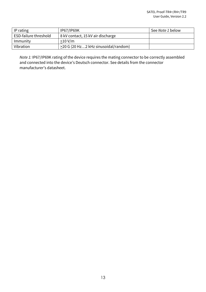| IP rating             | <b>IP67/IP69K</b>                    | See Note 1 below |
|-----------------------|--------------------------------------|------------------|
| ESD-failure threshold | 8 kV contact, 15 kV air discharge    |                  |
| Immunity              | >10 V/m                              |                  |
| Vibration             | >20 G (20 Hz2 kHz sinusoidal/random) |                  |

*Note 1:* IP67/IP69K rating of the device requires the mating connector to be correctly assembled and connected into the device's Deutsch connector. See details from the connector manufacturer's datasheet.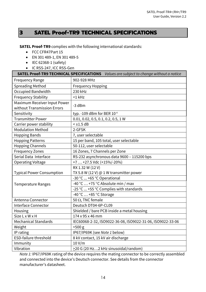## **3 SATEL Proof-TR9 TECHNICAL SPECIFICATIONS**

**SATEL Proof-TR9** complies with the following international standards:

- FCC CFR47Part 15
- EN 301 489-1, EN 301 489-5
- IEC 62368-1 (safety)
- IC RSS-247, ICC RSS-Gen

| <b>SATEL Proof-TR9 TECHNICAL SPECIFICATIONS</b> Values are subject to change without a notice |                                                            |  |  |  |  |
|-----------------------------------------------------------------------------------------------|------------------------------------------------------------|--|--|--|--|
| <b>Frequency Range</b>                                                                        | 902-928 MHz                                                |  |  |  |  |
| <b>Spreading Method</b>                                                                       | <b>Frequency Hopping</b>                                   |  |  |  |  |
| Occupied Bandwidth                                                                            | 230 kHz                                                    |  |  |  |  |
| <b>Frequency Stability</b>                                                                    | $<$ 1 $k$ Hz                                               |  |  |  |  |
| Maximum Receiver Input Power<br>without Transmission Errors                                   | $-3$ dBm                                                   |  |  |  |  |
| Sensitivity                                                                                   | typ. - 109 dBm for BER 10-4                                |  |  |  |  |
| <b>Transmitter Power</b>                                                                      | 0.01, 0.02, 0.5, 0.1, 0.2, 0.5, 1 W                        |  |  |  |  |
| Carrier power stability                                                                       | $<$ $\pm$ 1.5 dB                                           |  |  |  |  |
| <b>Modulation Method</b>                                                                      | 2-GFSK                                                     |  |  |  |  |
| <b>Hopping Bands</b>                                                                          | 7, user selectable                                         |  |  |  |  |
| <b>Hopping Patterns</b>                                                                       | 15 per band, 105 total, user selectable                    |  |  |  |  |
| <b>Hopping Channels</b>                                                                       | 50-112, user selectable                                    |  |  |  |  |
| <b>Frequency Zones</b>                                                                        | 16 Zones, 7 Channels per Zone                              |  |  |  |  |
| Serial Data Interface                                                                         | RS-232 asynchronous data 9600 - 115200 bps                 |  |  |  |  |
| <b>Operating Voltage</b>                                                                      | +7  +27.5 Vdc (+15%/-20%)                                  |  |  |  |  |
|                                                                                               | RX 1.32 W (12 V)                                           |  |  |  |  |
| <b>Typical Power Consumption</b>                                                              | TX 5.8 W (12 V) $\omega$ 1 W transmitter power             |  |  |  |  |
|                                                                                               | -30 °C  +65 °C Operational                                 |  |  |  |  |
| <b>Temperature Ranges</b>                                                                     | -40 °C  +75 °C Absolute min / max                          |  |  |  |  |
|                                                                                               | -25 °C  +55 °C Complies with standards                     |  |  |  |  |
|                                                                                               | $-40$ °C $\dots$ +85 °C Storage                            |  |  |  |  |
| Antenna Connector                                                                             | 50 $\Omega$ , TNC female                                   |  |  |  |  |
| Interface Connector                                                                           | Deutsch DT04-6P-CL09                                       |  |  |  |  |
| Housing                                                                                       | Shielded / bare PCB inside a metal housing                 |  |  |  |  |
| Size L x W x H                                                                                | 174 x 95 x 46 mm                                           |  |  |  |  |
| <b>Mechanical Standards</b>                                                                   | IEC60068-2-32, ISO9022-36-08, ISO9022-31-06, ISO9022-33-06 |  |  |  |  |
| Weight                                                                                        | $<$ 500 $g$                                                |  |  |  |  |
| IP rating                                                                                     | IP67/IP69K (see Note 1 below)                              |  |  |  |  |
| <b>ESD-failure threshold</b>                                                                  | 8 kV contact, 15 kV air discharge                          |  |  |  |  |
| Immunity                                                                                      | 10 V/m                                                     |  |  |  |  |
| Vibration                                                                                     | >20 G (20 Hz2 kHz sinusoidal/random)                       |  |  |  |  |

*Note 1:* IP67/IP69K rating of the device requires the mating connector to be correctly assembled and connected into the device's Deutsch connector. See details from the connector manufacturer's datasheet.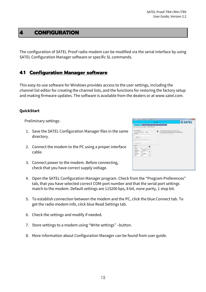## **4 CONFIGURATION**

The configuration of SATEL Proof radio modem can be modified via the serial interface by using SATEL Configuration Manager software or specific SL commands.

#### **4.1 Configuration Manager software**

This easy-to-use software for Windows provides access to the user settings, including the channel list editor for creating the channel lists, and the functions for restoring the factory setup and making firmware updates. The software is available from the dealers or at www.satel.com.

#### **QuickStart**

Preliminary settings:

- 1. Save the SATEL Configuration Manager files in the same directory.
- 2. Connect the modem to the PC using a proper interface cable.
- 3. Connect power to the modem. Before connecting, check that you have correct supply voltage.

|                                                                                                                                                                                      |                                                                                                                                                                                              | <b>SATEL</b> |
|--------------------------------------------------------------------------------------------------------------------------------------------------------------------------------------|----------------------------------------------------------------------------------------------------------------------------------------------------------------------------------------------|--------------|
| <b>Saturday   Williams   Sectional</b><br>Automobile (House Editor, Poper Telegrate<br>lie iste istog:<br>contract service and<br>ment<br>iac. I<br><b>anano</b><br>n<br><b>Fact</b> | $\overline{\omega}$ a mount securing fundamental asset<br>$\overline{\omega}$ is loosed for each decision consequence<br>$\frac{1}{2} \left( \frac{1}{2} \right) \left( \frac{1}{2} \right)$ |              |
| <b>Costs</b><br>뇌<br>11 Hotel Bitch<br><b>SUZENIA</b><br>H.<br>part his<br>31<br><b>Northern</b><br><b>Hanyway</b><br>ΗF<br>⋑<br><b>Santa</b><br>and the con-                        |                                                                                                                                                                                              |              |

- 4. Open the SATEL Configuration Manager program. Check from the "Program Preferences" tab, that you have selected correct COM-port number and that the serial port settings match to the modem. Default settings are 115200 bps, 8 bit, none parity, 1 stop bit.
- 5. To establish connection between the modem and the PC, click the blue Connect tab. To get the radio modem info, click blue Read Settings tab.
- 6. Check the settings and modify if needed.
- 7. Store settings to a modem using "Write settings" –button.
- 8. More information about Configuration Manager can be found from user guide.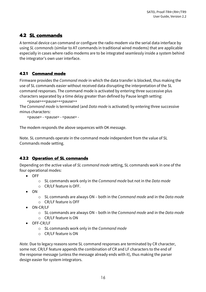## **4.2 SL commands**

A terminal device can command or configure the radio modem via the serial data interface by using *SL commands* (similar to AT commands in traditional wired modems) that are applicable especially in cases where radio modems are to be integrated seamlessly inside a system behind the integrator's own user interface.

#### **4.2.1 Command mode**

Firmware provides the *Command mode* in which the data transfer is blocked, thus making the use of SL commands easier without received data disrupting the interpretation of the SL command responses. The command mode is activated by entering three successive plus characters separated by a time delay greater than defined by Pause length setting:

<pause>+<pause>+<pause>+

The *Command mode* is terminated (and *Data mode* is activated) by entering three successive minus characters:

<pause> - <pause> - <pause> -

The modem responds the above sequences with OK message.

Note. SL commands operate in the command mode independent from the value of SL Commands mode setting.

#### **4.2.2 Operation of SL commands**

Depending on the active value of *SL command mode* setting, SL commands work in one of the four operational modes:

- OFF
	- o SL commands work only in the *Command mode* but not in the *Data mode*
	- o CR/LF feature is OFF.
- ON
	- o SL commands are always ON both in the *Command mode* and in the *Data mode*
	- o CR/LF feature is OFF
- ON-CR/LF
	- o SL commands are always ON both in the *Command mode* and in the *Data mode*
	- o CR/LF feature is ON
- OFF-CR/LF
	- o SL commands work only in the *Command mode*
	- o CR/LF feature is ON

*Note.* Due to legacy reasons some SL command responses are terminated by CR character, some not. CR/LF feature appends the combination of CR and LF characters to the end of the response message (unless the message already ends with it), thus making the parser design easier for system integrators.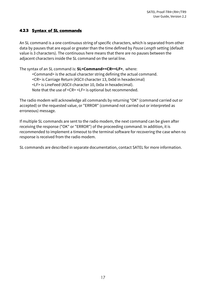#### **4.2.3 Syntax of SL commands**

An SL command is a one continuous string of specific characters, which is separated from other data by pauses that are equal or greater than the time defined by *Pause Length* setting (default value is 3 characters). The continuous here means that there are no pauses between the adjacent characters inside the SL command on the serial line.

The syntax of an SL command is: **SL<Command><CR><LF>**, where:

<Command> is the actual character string defining the actual command. <CR> is Carriage Return (ASCII character 13, 0x0d in hexadecimal) <LF> is LineFeed (ASCII character 10, 0x0a in hexadecimal). Note that the use of <CR> <LF> is optional but recommended.

The radio modem will acknowledge all commands by returning "OK" (command carried out or accepted) or the requested value, or "ERROR" (command not carried out or interpreted as erroneous) message.

If multiple SL commands are sent to the radio modem, the next command can be given after receiving the response ("OK" or "ERROR") of the proceeding command. In addition, it is recommended to implement a timeout to the terminal software for recovering the case when no response is received from the radio modem.

SL commands are described in separate documentation, contact SATEL for more information.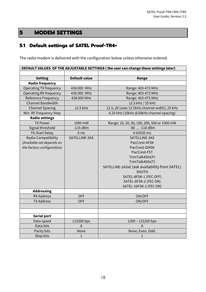## **5 MODEM SETTINGS**

## **5.1 Default settings of SATEL Proof-TR4+**

The radio modem is delivered with the configuration below unless otherwise ordered.

| DEFAULT VALUES OF THE ADJUSTABLE SETTINGS (the user can change these settings later) |                      |                                               |  |  |
|--------------------------------------------------------------------------------------|----------------------|-----------------------------------------------|--|--|
|                                                                                      |                      |                                               |  |  |
| <b>Setting</b>                                                                       | <b>Default value</b> | Range                                         |  |  |
| <b>Radio frequency</b>                                                               |                      |                                               |  |  |
| <b>Operating TX frequency</b>                                                        | 438.000 MHz          | Range: 403-473 MHz                            |  |  |
| <b>Operating RX frequency</b>                                                        | 438.000 MHz          | Range: 403-473 MHz                            |  |  |
| <b>Reference Frequency</b>                                                           | 438.000 MHz          | Range: 403-473 MHz                            |  |  |
| <b>Channel Bandwidth</b>                                                             |                      | 12.5 kHz / 25 kHz                             |  |  |
| <b>Channel Spacing</b>                                                               | 12.5 kHz             | 12.5, 20 (uses 12.5kHz channel width), 25 kHz |  |  |
| Min. RF Frequency Step                                                               |                      | 6.25 kHz (10kHz @20kHz channel spacing)       |  |  |
| <b>Radio settings</b>                                                                |                      |                                               |  |  |
| <b>TX Power</b>                                                                      | 1000 mW              | Range: 10, 20, 50, 100, 200, 500 or 1000 mW   |  |  |
| Signal threshold                                                                     | $-115$ dBm           | - 80  -118 dBm                                |  |  |
| <b>TX-Start Delay</b>                                                                | 0 <sub>ms</sub>      | 0-65535 ms                                    |  |  |
| Radio Compatibility                                                                  | SATELLINE-3AS        | SATELLINE-3AS                                 |  |  |
| (Available set depends on                                                            |                      | PacCrest-4FSK                                 |  |  |
| the factory configuration)                                                           |                      | PacCrest-GMSK                                 |  |  |
|                                                                                      |                      | PacCrest-FST                                  |  |  |
|                                                                                      |                      | TrimTalk450s(P)                               |  |  |
|                                                                                      |                      | TrimTalk450s(T)                               |  |  |
|                                                                                      |                      | SATELLINE-2ASxE (ask availability from SATEL) |  |  |
|                                                                                      |                      | SOUTH                                         |  |  |
|                                                                                      |                      | SATEL-8FSK-1 (FEC OFF)                        |  |  |
|                                                                                      |                      | SATEL-8FSK-2 (FEC ON)                         |  |  |
|                                                                                      |                      | SATEL-16FSK-1 (FEC ON)                        |  |  |
| <b>Addressing</b>                                                                    |                      |                                               |  |  |
| <b>RX Address</b>                                                                    | <b>OFF</b>           | ON/OFF                                        |  |  |
| <b>TX Address</b>                                                                    | <b>OFF</b>           | ON/OFF                                        |  |  |
|                                                                                      |                      |                                               |  |  |
|                                                                                      |                      |                                               |  |  |
| <b>Serial port</b>                                                                   |                      |                                               |  |  |
| Data speed                                                                           | 115200 bps           | 1200 - 115200 bps                             |  |  |
| Data bits                                                                            | 8                    | 8                                             |  |  |
| Parity bits                                                                          | None                 | None, Even, Odd.                              |  |  |
| Stop bits                                                                            | $\mathbf{1}$         | 1                                             |  |  |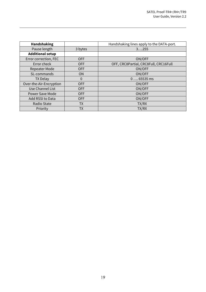| <b>Handshaking</b>      |            | Handshaking lines apply to the DATA-port. |
|-------------------------|------------|-------------------------------------------|
| Pause length            | 3 bytes    | 3255                                      |
| <b>Additional setup</b> |            |                                           |
| Error correction, FEC   | <b>OFF</b> | ON/OFF                                    |
| Error check             | <b>OFF</b> | OFF, CRC8Partial, CRC8Full, CRC16Full     |
| Repeater Mode           | <b>OFF</b> | ON/OFF                                    |
| SL-commands             | <b>ON</b>  | ON/OFF                                    |
| <b>TX Delay</b>         | $\Omega$   | $065535$ ms                               |
| Over-the-Air-Encryption | <b>OFF</b> | ON/OFF                                    |
| Use Channel List        | <b>OFF</b> | ON/OFF                                    |
| <b>Power Save Mode</b>  | <b>OFF</b> | ON/OFF                                    |
| Add RSSI to Data        | <b>OFF</b> | ON/OFF                                    |
| Radio State             | <b>TX</b>  | TX/RX                                     |
| Priority                | TХ         | TX/RX                                     |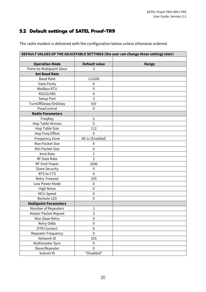## **5.2 Default settings of SATEL Proof-TR9**

The radio modem is delivered with the configuration below unless otherwise ordered.

| DEFAULT VALUES OF THE ADJUSTABLE SETTINGS (the user can change these settings later) |                      |       |  |  |
|--------------------------------------------------------------------------------------|----------------------|-------|--|--|
|                                                                                      |                      |       |  |  |
| <b>Operation Mode</b>                                                                | <b>Default value</b> | Range |  |  |
| Point-to-Multipoint Slave                                                            | 3                    |       |  |  |
| <b>Set Baud Rate</b>                                                                 |                      |       |  |  |
| <b>Baud Rate</b>                                                                     | 115200               |       |  |  |
| Data Parity                                                                          | $\mathbf 0$          |       |  |  |
| Modbus RTU                                                                           | $\mathbf 0$          |       |  |  |
| RS232/485                                                                            | $\mathbf 0$          |       |  |  |
| Setup Port                                                                           | 3                    |       |  |  |
| TurnOffDelay/OnDelay                                                                 | 0/0                  |       |  |  |
| FlowControl                                                                          | $\mathbf 0$          |       |  |  |
| <b>Radio Parameters</b>                                                              |                      |       |  |  |
| FreqKey                                                                              | 5                    |       |  |  |
| Hop Table Version                                                                    | $\mathbf 0$          |       |  |  |
| <b>Hop Table Size</b>                                                                | 112                  |       |  |  |
| Hop Freq Offset                                                                      | $\mathbf 0$          |       |  |  |
| <b>Frequency Zone</b>                                                                | All 1s (Enabled)     |       |  |  |
| Max Packet Size                                                                      | 8                    |       |  |  |
| Min Packet Size                                                                      | 9                    |       |  |  |
| Xmit Rate                                                                            | $\mathbf 1$          |       |  |  |
| <b>RF Date Rate</b>                                                                  | 3                    |       |  |  |
| <b>RF Xmit Power</b>                                                                 | 1000                 |       |  |  |
| <b>Slave Security</b>                                                                | $\mathbf 0$          |       |  |  |
| RTS to CTS                                                                           | $\mathbf 0$          |       |  |  |
| <b>Retry Timeout</b>                                                                 | 255                  |       |  |  |
| Low Power Mode                                                                       | $\mathbf 0$          |       |  |  |
| <b>High Noise</b>                                                                    | $\mathbf 0$          |       |  |  |
| MCU Speed                                                                            | $\mathbf 0$          |       |  |  |
| Remote LED                                                                           | $\mathbf 0$          |       |  |  |
| <b>Multipoint Parameters</b>                                                         |                      |       |  |  |
| Number of Repeaters                                                                  | 1                    |       |  |  |
| Master Packet Repeat                                                                 | 3                    |       |  |  |
| Max Slave Retry                                                                      | 9                    |       |  |  |
| Retry Odds                                                                           | 9                    |       |  |  |
| <b>DTR Connect</b>                                                                   | $\boldsymbol{0}$     |       |  |  |
| Repeater Frequency                                                                   | $\mathbf 0$          |       |  |  |
| Network ID                                                                           | 255                  |       |  |  |
| Multimaster Sync                                                                     | $\pmb{0}$            |       |  |  |
| Slave/Repeater                                                                       | $\mathbf 0$          |       |  |  |
| Subnet ID                                                                            | "Disabled"           |       |  |  |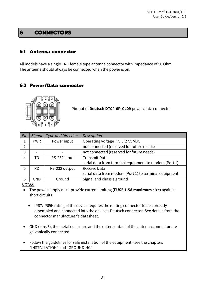## **6 CONNECTORS**

## **6.1 Antenna connector**

All models have a single TNC female type antenna connector with impedance of 50 Ohm. The antenna should always be connected when the power is on.

### **6.2 Power/Data connector**



Pin-out of **Deutsch DT04-6P-CL09** power/data connector

| <b>Pin</b>    | Signal     | <b>Type and Direction</b> | Description                                           |
|---------------|------------|---------------------------|-------------------------------------------------------|
|               | <b>PWR</b> | Power input               | Operating voltage +7+27.5 VDC                         |
| $\mathcal{P}$ |            |                           | not connected (reserved for future needs)             |
| 3             |            |                           | not connected (reserved for future needs)             |
| 4             | TD         | RS-232 input              | <b>Transmit Data</b>                                  |
|               |            |                           | serial data from terminal equipment to modem (Port 1) |
|               | RD.        | RS-232 output             | Receive Data                                          |
|               |            |                           | serial data from modem (Port 1) to terminal equipment |
| 6             | GND        | Ground                    | Signal and chassis ground                             |

#### *NOTES:*

- The power supply must provide current limiting (**FUSE 1.5A maximum size**) against short circuits
	- IP67/IP69K rating of the device requires the mating connector to be correctly assembled and connected into the device's Deutsch connector. See details from the connector manufacturer's datasheet.
- GND (pins 6), the metal enclosure and the outer contact of the antenna connector are galvanically connected
- Follow the guidelines for safe installation of the equipment see the chapters "INSTALLATION" and "GROUNDING"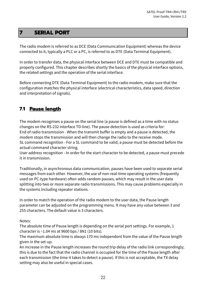## **7 SERIAL PORT**

The radio modem is referred to as DCE (Data Communication Equipment) whereas the device connected to it, typically a PLC or a PC, is referred to as DTE (Data Terminal Equipment).

In order to transfer data, the physical interface between DCE and DTE must be compatible and properly configured. This chapter describes shortly the basics of the physical interface options, the related settings and the operation of the serial interface.

Before connecting DTE (Data Terminal Equipment) to the radio modem, make sure that the configuration matches the physical interface (electrical characteristics, data speed, direction and interpretation of signals).

## **7.1 Pause length**

The modem recognises a pause on the serial line (a pause is defined as a time with no status changes on the RS-232 interface TD-line). The pause detection is used as criteria for: End of radio transmission - When the transmit buffer is empty and a pause is detected, the modem stops the transmission and will then change the radio to the receive mode. SL command recognition - For a SL command to be valid, a pause must be detected before the actual command character string.

User address recognition - In order for the start character to be detected, a pause must precede it in transmission.

Traditionally, in asynchronous data communication, pauses have been used to separate serial messages from each other. However, the use of non-real-time operating systems (frequently used on PC-type hardware) often adds random pauses, which may result in the user data splitting into two or more separate radio transmissions. This may cause problems especially in the systems including repeater stations.

In order to match the operation of the radio modem to the user data, the Pause length parameter can be adjusted on the programming menu. It may have any value between 3 and 255 characters. The default value is 3 characters.

Notes:

The absolute time of Pause length is depending on the serial port settings. For example, 1 character is ~1.04 ms at 9600 bps / 8N1 (10 bits).

The maximum absolute time is always 170 ms independent from the value of the Pause length given in the set-up.

An increase in the Pause length increases the round trip delay of the radio link correspondingly; this is due to the fact that the radio channel is occupied for the time of the Pause length after each transmission (the time it takes to detect a pause). If this is not acceptable, the TX delay setting may also be useful in special cases.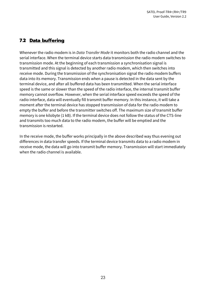## **7.2 Data buffering**

Whenever the radio modem is in *Data Transfer Mode* it monitors both the radio channel and the serial interface. When the terminal device starts data transmission the radio modem switches to transmission mode. At the beginning of each transmission a synchronisation signal is transmitted and this signal is detected by another radio modem, which then switches into receive mode. During the transmission of the synchronisation signal the radio modem buffers data into its memory. Transmission ends when a pause is detected in the data sent by the terminal device, and after all buffered data has been transmitted. When the serial interface speed is the same or slower than the speed of the radio interface, the internal transmit buffer memory cannot overflow. However, when the serial interface speed exceeds the speed of the radio interface, data will eventually fill transmit buffer memory. In this instance, it will take a moment after the terminal device has stopped transmission of data for the radio modem to empty the buffer and before the transmitter switches off. The maximum size of transmit buffer memory is one kilobyte (1 kB). If the terminal device does not follow the status of the CTS-line and transmits too much data to the radio modem, the buffer will be emptied and the transmission is restarted.

In the receive mode, the buffer works principally in the above described way thus evening out differences in data transfer speeds. If the terminal device transmits data to a radio modem in receive mode, the data will go into transmit buffer memory. Transmission will start immediately when the radio channel is available.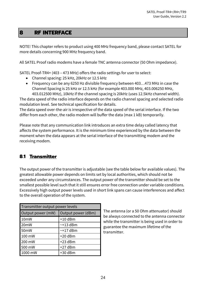## **8 RF INTERFACE**

NOTE! This chapter refers to product using 400 MHz frequency band, please contact SATEL for more details concerning 900 MHz frequency band.

All SATEL Proof radio modems have a female TNC antenna connector (50 Ohm impedance).

SATEL Proof-TR4+ (403 – 473 MHz) offers the radio settings for user to select:

- Channel spacing: 25 kHz, 20kHz or 12.5 kHz
- Frequency can be any 6250 Hz divisible frequency between 403…473 MHz in case the Channel Spacing is 25 kHz or 12.5 kHz (for example 403.000 MHz, 403.006250 MHz, 403.012500 MHz), 10kHz if the channel spacing is 20kHz (uses 12.5kHz channel width).

The data speed of the radio interface depends on the radio channel spacing and selected radio modulation level. See technical specification for details.

The data speed over-the-air is irrespective of the data speed of the serial interface. If the two differ from each other, the radio modem will buffer the data (max 1 kB) temporarily.

Please note that any communication link introduces an extra time delay called latency that affects the system performance. It is the minimum time experienced by the data between the moment when the data appears at the serial interface of the transmitting modem and the receiving modem.

## **8.1 Transmitter**

The output power of the transmitter is adjustable (see the table below for available values). The greatest allowable power depends on limits set by local authorities, which should not be exceeded under any circumstances. The output power of the transmitter should be set to the smallest possible level such that it still ensures error free connection under variable conditions. Excessively high output power levels used in short link spans can cause interferences and affect to the overall operation of the system.

| Transmitter output power levels         |           |  |  |  |
|-----------------------------------------|-----------|--|--|--|
| Output power (mW)<br>Output power (dBm) |           |  |  |  |
| 10 <sub>m</sub> W                       | $+10$ dBm |  |  |  |
| 20 <sub>m</sub> W                       | $~13$ dBm |  |  |  |
| 50 <sub>m</sub> W                       | $~17$ dBm |  |  |  |
| 100 mW                                  | $+20$ dBm |  |  |  |
| 200 mW                                  | $+23$ dBm |  |  |  |
| 500 mW                                  | $+27$ dBm |  |  |  |
| 1000 mW                                 | +30 dBm   |  |  |  |

The antenna (or a 50 Ohm attenuator) should be always connected to the antenna connector while the transmitter is being used in order to guarantee the maximum lifetime of the transmitter.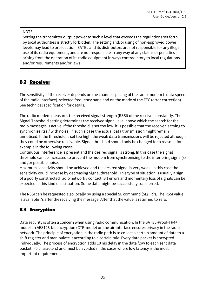#### NOTE!

Setting the transmitter output power to such a level that exceeds the regulations set forth by local authorities is strictly forbidden. The setting and/or using of non-approved power levels may lead to prosecution. SATEL and its distributors are not responsible for any illegal use of its radio equipment, and are not responsible in any way of any claims or penalties arising from the operation of its radio equipment in ways contradictory to local regulations and/or requirements and/or laws.

## **8.2 Receiver**

The sensitivity of the receiver depends on the channel spacing of the radio modem (=data speed of the radio interface), selected frequency band and on the mode of the FEC (error correction). See technical specification for details.

The radio modem measures the received signal strength (RSSI) of the receiver constantly. The Signal Threshold setting determines the received signal level above which the search for the radio messages is active. If the threshold is set too low, it is possible that the receiver is trying to synchronise itself with noise. In such a case the actual data transmission might remain unnoticed. If the threshold is set too high, the weak data transmissions will be rejected although they could be otherwise receivable. Signal threshold should only be changed for a reason - for example in the following cases:

Continuous interference is present and the desired signal is strong. In this case the signal threshold can be increased to prevent the modem from synchronising to the interfering signal(s) and /or possible noise.

Maximum sensitivity should be achieved and the desired signal is very weak. In this case the sensitivity could increase by decreasing Signal threshold. This type of situation is usually a sign of a poorly constructed radio network / contact. Bit errors and momentary loss of signals can be expected in this kind of a situation. Some data might be successfully transferred.

The RSSI can be requested also locally by using a special SL command (SL@R?). The RSSI value is available 7s after the receiving the message. After that the value is returned to zero.

## **8.3 Encryption**

Data security is often a concern when using radio communication. In the SATEL-Proof-TR4+ model an AES128-bit encryption (CTR-mode) on the air-interface ensures privacy in the radio network. The principle of encryption in the radio path is to collect a certain amount of data to a shift register and manipulate it according to a certain rule. Every data packet is encrypted individually. The process of encryption adds 10 ms delay in the data flow to each sent data packet (<5 characters) and must be avoided in the cases where low latency is the most important requirement.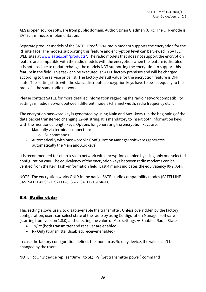AES is open source software from public domain. Author: Brian Gladman (U.K). The CTR-mode is SATEL's in-house implementation.

Separate product models of the SATEL Proof-TR4+ radio modem supports the encryption for the RF interface. The models supporting this feature and encryption level can be viewed in SATEL WEB sites at [www.satel.com/products/.](http://www.satel.com/products/) The radio models that does not support the encryption feature are compatible with the radio models with the encryption when the feature is disabled. It is not possible to update/change the models NOT supporting the encryption to support this feature in the field. This task can be executed is SATEL factory premises and will be charged according to the service price list. The factory default value for the encryption feature is OFF state. The setting state with the static, distributed encryption keys have to be set equally to the radios in the same radio network.

Please contact SATEL for more detailed information regarding the radio network compatibility settings in radio network between different models (channel width, radio frequency etc.).

The encryption password key is generated by using Main and Aux –keys + in the beginning of the data packet transferred changing 32-bit string. It is mandatory to insert both information keys with the mentioned length keys. Options for generating the encryption keys are:

- Manually via terminal connection:
	- o SL commands
- Automatically with password via Configuration Manager software (generates automatically the Main and Aux keys)

It is recommended to set up a radio network with encryption enabled by using only one selected configuration way. The equivalency of the encryption keys between radio modems can be verified from the Key Hash –information field. Last 4 marks indicates the equivalency [0-9, A-F].

NOTE! The encryption works ONLY in the native SATEL radio compatibility modes (SATELLINE-3AS, SATEL-8FSK-1, SATEL-8FSK-2, SATEL-16FSK-1).

## **8.4 Radio state**

This setting allows users to disable/enable the transmitter. Unless overridden by the factory configuration, users can select state of the radio by using Configuration Manager software (starting from version 1.8.0) and selecting the value of Misc settings  $\rightarrow$  Enabled Radio States:

- Tx/Rx (both transmitter and receiver are enabled)
- Rx Only (transmitter disabled, receiver enabled)

In case the factory configuration defines the modem as Rx-only device, the value can't be changed by the users.

NOTE! Rx Only device replies "0mW" to SL@P? (Get transmitter power) command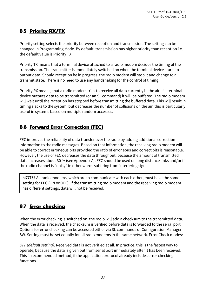## **8.5 Priority RX/TX**

Priority setting selects the priority between reception and transmission. The setting can be changed in Programming Mode. By default, transmission has higher priority than reception i.e. the default value is Priority TX.

Priority TX means that a terminal device attached to a radio modem decides the timing of the transmission. The transmitter is immediately switched on when the terminal device starts to output data. Should reception be in progress, the radio modem will stop it and change to a transmit state. There is no need to use any handshaking for the control of timing.

Priority RX means, that a radio modem tries to receive all data currently in the air. If a terminal device outputs data to be transmitted (or an SL command) it will be buffered. The radio modem will wait until the reception has stopped before transmitting the buffered data. This will result in timing slacks to the system, but decreases the number of collisions on the air; this is particularly useful in systems based on multiple random accesses.

## **8.6 Forward Error Correction (FEC)**

FEC improves the reliability of data transfer over the radio by adding additional correction information to the radio messages. Based on that information, the receiving radio modem will be able to correct erroneous bits provided the ratio of erroneous and correct bits is reasonable. However, the use of FEC decreases the data throughput, because the amount of transmitted data increases about 30 % (see Appendix A). FEC should be used on long distance links and/or if the radio channel is "noisy" in other words suffering from interfering signals.

NOTE! All radio modems, which are to communicate with each other, must have the same setting for FEC (ON or OFF). If the transmitting radio modem and the receiving radio modem has different settings, data will not be received.

## **8.7 Error checking**

When the error checking is switched on, the radio will add a checksum to the transmitted data. When the data is received, the checksum is verified before data is forwarded to the serial port. Options for error checking can be accessed either via SL commands or Configuration Manager SW. Setting must be set equally for all radio modems in the same network. Error Check modes:

*OFF (default setting).* Received data is not verified at all. In practice, this is the fastest way to operate, because the data is given out from serial port immediately after it has been received. This is recommended method, if the application protocol already includes error checking functions.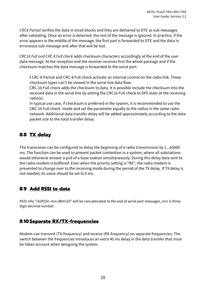*CRC8 Partial* verifies the data in small blocks and they are delivered to DTE as sub messages after validating. Once an error is detected, the rest of the message is ignored. In practice, if the error appears in the middle of the message, the first part is forwarded to DTE and the data in erroneous sub-message and after that will be lost.

*CRC16 Full and CRC 8 Full check* adds checksum characters accordingly at the end of the user data message. At the reception end the receiver receives first the whole package and if the checksum matches the data message is forwarded to the serial port.

**!** CRC-8 Partial and CRC-8 Full check activate an internal control on the radio link. These checksum types can't be viewed in the serial line data flow.

CRC-16 Full check adds the checksum to data. It is possible include the checksum into the received data in the serial line by setting the CRC16 Full check to OFF state at the receiving radio(s).

In typical use case, if checksum is preferred in the system, it is recommended to use the CRC-16 Full check -mode and set the parameter equally to the radios in the same radio network. Additional data transfer delay will be added approximately according to the data packet size to the total transfer delay.

## **8.8 TX delay**

The transceiver can be configured to delay the beginning of a radio transmission by 1...65000 ms. The function can be used to prevent packet contention in a system, where all substations would otherwise answer a poll of a base-station simultaneously. During this delay data sent to the radio modem is buffered. Even when the priority setting is "RX", the radio modem is prevented to change over to the receiving mode during the period of the TX delay. If TX delay is not needed, its value should be set to 0 ms.

## **8.9 Add RSSI to data**

RSSI info "\02RSSI:-nnn dBm\03" will be concatenated to the end of serial port messages, nnn is three digit decimal number.

## **8.10Separate RX/TX-frequencies**

Modem can transmit (TX-frequency) and receive (RX-frequency) on separate frequencies. The switch between the frequencies introduces an extra 40 ms delay in the data transfer that must be taken account when designing the system.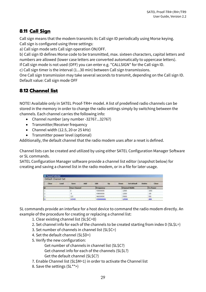## **8.11 Call Sign**

Call sign means that the modem transmits its Call sign ID periodically using Morse keying. Call sign is configured using three settings:

a) Call sign mode sets Call sign operation ON/OFF.

b) Call sign ID defines Morse code to be transmitted, max. sixteen characters, capital letters and numbers are allowed (lower case letters are converted automatically to uppercase letters).

If Call sign mode is not used (OFF) you can enter e.g. "CALLSIGN" for the Call sign ID.

c) Call sign timer is the interval (1...30 min) between Call sign transmissions.

One Call sign transmission may take several seconds to transmit, depending on the Call sign ID. Default value: Call sign mode OFF

## **8.12 Channel list**

NOTE! Available only in SATEL Proof-TR4+ model. A list of predefined radio channels can be stored in the memory in order to change the radio settings simply by switching between the channels. Each channel carries the following info:

- Channel number (any number -32767...32767)
- Transmitter/Receiver frequency
- Channel width (12.5, 20 or 25 kHz)
- Transmitter power level (optional)

Additionally, the default channel that the radio modem uses after a reset is defined.

Channel lists can be created and utilized by using either SATEL Configuration Manager Software or SL commands.

SATEL Configuration Manager software provide a channel list editor (snapshot below) for creating and saving a channel list in the radio modem, or in a file for later usage.

| <b>C</b> Channel Selector<br>Default Channel Set |      |                     |     |                  |    |             |                      |               |                 |
|--------------------------------------------------|------|---------------------|-----|------------------|----|-------------|----------------------|---------------|-----------------|
| Clear                                            | Load | Save                | Add | Edit             | Up | <b>Down</b> | Set default          | <b>Delete</b> | Close.          |
|                                                  |      | <b>Uver Channel</b> |     | <b>Frequency</b> |    |             | <b>Channel Width</b> |               | <b>Ex Power</b> |
|                                                  |      |                     |     | 430000000        |    | 12500       |                      |               | 1000            |
| z                                                |      | 古                   |     | 438000000        |    | 12500       |                      |               | 100             |
|                                                  |      | 133                 |     | 468200000        |    | 25000       |                      |               | 500             |
|                                                  |      | 12345               |     | 430000000        |    | 12500       |                      |               | 200             |

SL commands provide an interface for a host device to command the radio modem directly. An example of the procedure for creating or replacing a channel list:

- 1. Clear existing channel list (SL\$C=0)
- 2. Set channel info for each of the channels to be created starting from index 0 (SL\$L=)
- 3. Set number of channels in channel list (SL\$C=)
- 4. Set the default channel (SL\$D=)
- 5. Verify the new configuration:
	- Get number of channels in channel list (SL\$C?)
	- Get channel info for each of the channels (SL\$L?)
	- Get the default channel (SL\$C?)
- 7. Enable Channel list (SL\$M=1) in order to activate the Channel list
- 8. Save the settings (SL\*\*>)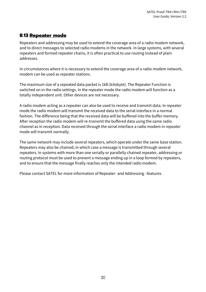## **8.13 Repeater mode**

Repeaters and addressing may be used to extend the coverage area of a radio modem network, and to direct messages to selected radio modems in the network. In large systems, with several repeaters and formed repeater chains, it is often practical to use routing instead of plain addresses.

In circumstances where it is necessary to extend the coverage area of a radio modem network, modem can be used as repeater stations.

The maximum size of a repeated data packet is 1kB (kilobyte). The Repeater Function is switched on in the radio settings. In the repeater mode the radio modem will function as a totally independent unit. Other devices are not necessary.

A radio modem acting as a repeater can also be used to receive and transmit data. In repeater mode the radio modem will transmit the received data to the serial interface in a normal fashion. The difference being that the received data will be buffered into the buffer memory. After reception the radio modem will re-transmit the buffered data using the same radio channel as in reception. Data received through the serial interface a radio modem in repeater mode will transmit normally.

The same network may include several repeaters, which operate under the same base station. Repeaters may also be chained; in which case a message is transmitted through several repeaters. In systems with more than one serially or parallelly chained repeater, addressing or routing protocol must be used to prevent a message ending up in a loop formed by repeaters, and to ensure that the message finally reaches only the intended radio modem.

Please contact SATEL for more information of Repeater- and Addressing –features.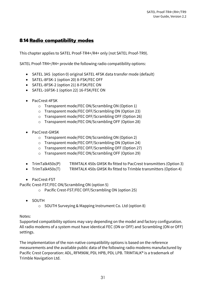## **8.14 Radio compatibility modes**

This chapter applies to SATEL Proof-TR4+/R4+ only (not SATEL Proof-TR9).

SATEL Proof-TR4+/R4+ provide the following radio compatibility options:

- SATEL 3AS (option 0) original SATEL 4FSK data transfer mode (default)
- SATEL-8FSK-1 (option 20) 8-FSK/FEC OFF
- SATEL-8FSK-2 (option 21) 8-FSK/FEC ON
- SATEL-16FSK-1 (option 22) 16-FSK/FEC ON
- PacCrest-4FSK
	- o Transparent mode/FEC ON/Scrambling ON (Option 1)
	- o Transparent mode/FEC OFF/Scrambling ON (Option 23)
	- o Transparent mode/FEC OFF/Scrambling OFF (Option 26)
	- o Transparent mode/FEC ON/Scrambling OFF (Option 28)
- PacCrest-GMSK
	- o Transparent mode/FEC ON/Scrambling ON (Option 2)
	- o Transparent mode/FEC OFF/Scrambling ON (Option 24)
	- o Transparent mode/FEC OFF/Scrambling OFF (Option 27)
	- o Transparent mode/FEC ON/Scrambling OFF (Option 29)
- TrimTalk450s(P) TRIMTALK 450s GMSK Rx fitted to PacCrest transmitters (Option 3)
- TrimTalk450s(T) TRIMTALK 450s GMSK Rx fitted to Trimble transmitters (Option 4)
- PacCrest-FST

Pacific Crest-FST/FEC ON/Scrambling ON (option 5)

- o Pacific Crest-FST/FEC OFF/Scrambling ON (option 25)
- SOUTH
	- o SOUTH Surveying & Mapping Instrument Co. Ltd (option 8)

#### Notes:

Supported compatibility options may vary depending on the model and factory configuration. All radio modems of a system must have identical FEC (ON or OFF) and Scrambling (ON or OFF) settings.

The implementation of the non-native compatibility options is based on the reference measurements and the available public data of the following radio modems manufactured by Pacific Crest Corporation: ADL, RFM96W, PDL HPB, PDL LPB. TRIMTALK® is a trademark of Trimble Navigation Ltd.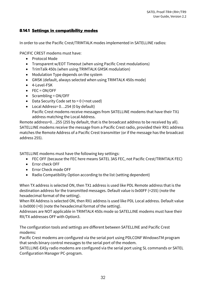#### **8.14.1 Settings in compatibility modes**

In order to use the Pacific Crest/TRIMTALK modes implemented in SATELLINE radios:

PACIFIC CREST modems must have:

- Protocol Mode
- Transparent w/EOT Timeout (when using Pacific Crest modulations)
- TrimTalk 450s (when using TRIMTALK GMSK modulation)
- Modulation Type depends on the system
- GMSK (default, always selected when using TRIMTALK 450s mode)
- 4-Level-FSK
- FEC = ON/OFF
- Scrambling = ON/OFF
- Data Security Code set to  $= 0$  (=not used)
- Local Address= 0…254 (0 by default) Pacific Crest modems receive messages from SATELLINE modems that have their TX1 address matching the Local Address.

Remote address=0…255 (255 by default, that is the broadcast address to be received by all). SATELLINE modems receive the message from a Pacific Crest radio, provided their RX1 address matches the Remote Address of a Pacific Crest transmitter (or if the message has the broadcast address 255).

SATELLINE modems must have the following key settings:

- FEC OFF (because the FEC here means SATEL 3AS FEC, not Pacific Crest/TRIMTALK FEC)
- Error check OFF
- Error Check mode OFF
- Radio Compatibility Option according to the list (setting dependent)

When TX address is selected ON, then TX1 address is used like PDL Remote address that is the destination address for the transmitted messages. Default value is 0x00FF (=255) (note the hexadecimal format of the setting).

When RX Address is selected ON, then RX1 address is used like PDL Local address. Default value is 0x0000 (=0) (note the hexadecimal format of the setting).

Addresses are NOT applicable in TRIMTALK 450s mode so SATELLINE modems must have their RX/TX addresses OFF with Option3.

The configuration tools and settings are different between SATELLINE and Pacific Crest modems:

Pacific Crest modems are configured via the serial port using PDLCONF WindowsTM program that sends binary control messages to the serial port of the modem.

SATELLINE-EASy radio modems are configured via the serial port using SL commands or SATEL Configuration Manager PC-program.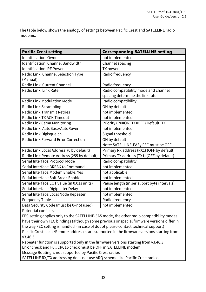The table below shows the analogy of settings between Pacific Crest and SATELLINE radio modems.

| <b>Pacific Crest setting</b>                 | <b>Corresponding SATELLINE setting</b>       |
|----------------------------------------------|----------------------------------------------|
| <b>Identification: Owner</b>                 | not implemented                              |
| <b>Identification: Channel Bandwidth</b>     | Channel spacing                              |
| <b>Identification: RF Power</b>              | TX power                                     |
| Radio Link: Channel Selection Type           | Radio frequency                              |
| (Manual)                                     |                                              |
| Radio Link: Current Channel                  | Radio frequency                              |
| Radio Link: Link Rate                        | Radio compatibility mode and channel         |
|                                              | spacing determine the link rate              |
| Radio Link: Modulation Mode                  | Radio compatibility                          |
| Radio Link:Scrambling                        | ON by default                                |
| <b>Radio Link: Transmit Retries</b>          | not implemented                              |
| Radio Link: TX ACK Timeout                   | not implemented                              |
| Radio Link: Csma Monitoring                  | Priority (RX=ON, TX=OFF) Default: TX         |
| Radio Link: AutoBase/AutoRover               | not implemented                              |
| Radio Link: Digisquelch                      | Signal threshold                             |
| Radio Link: Forward Error Correction         | ON by default                                |
|                                              | Note: SATELLINE-EASy FEC must be OFF!        |
| Radio Link: Local Address (0 by default)     | Primary RX address (RX1) (OFF by default)    |
| Radio Link: Remote Address (255 by default)  | Primary TX address (TX1) (OFF by default)    |
| Serial Interface: Protocol Mode              | Radio compatibility                          |
| Serial Interface: BREAK to Command           | not implemented                              |
| Serial Interface: Modem Enable: Yes          | not applicable                               |
| Serial Interface: Soft Break Enable          | not implemented                              |
| Serial Interface: EOT value (in 0.01s units) | Pause length (in serial port byte intervals) |
| Serial Interface: Digipeater Delay           | not implemented                              |
| Serial Interface: Local Node Repeater        | not implemented                              |
| <b>Frequency Table</b>                       | Radio frequency                              |
| Data Security Code (must be 0=not used)      | not implemented                              |

Potential conflicts:

FEC setting applies only to the SATELLINE-3AS mode, the other radio compatibility modes have their own FEC bindings (although some previous or special firmware versions differ in the way FEC setting is handled - in case of doubt please contact technical support) Pacific Crest Local/Remote addresses are supported in the firmware versions starting from v3.46.3

Repeater function is supported only in the firmware versions starting from v3.46.3 Error check and Full CRC16 check must be OFF in SATELLINE modem

Message Routing is not supported by Pacific Crest radios

SATELLINE RX/TX addressing does not use ARQ scheme like Pacific Crest radios.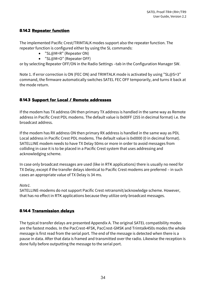#### **8.14.2 Repeater function**

The implemented Pacific Crest/TRIMTALK modes support also the repeater function. The repeater function is configured either by using the SL commands:

- "SL@M=R" (Repeater ON)
- "SL@M=O" (Repeater OFF)

or by selecting Repeater OFF/ON in the Radio Settings –tab in the Configuration Manager SW.

Note 1. If error correction is ON (FEC ON) and TRIMTALK mode is activated by using "SL@S=3" command, the firmware automatically switches SATEL FEC OFF temporarily, and turns it back at the mode return.

## **8.14.3 Support for Local / Remote addresses**

If the modem has TX address ON then primary TX address is handled in the same way as Remote address in Pacific Crest PDL modems. The default value is 0x00FF (255 in decimal format) i.e. the broadcast address.

If the modem has RX address ON then primary RX address is handled in the same way as PDL Local address in Pacific Crest PDL modems. The default value is 0x0000 (0 in decimal format). SATELLINE modem needs to have TX Delay 50ms or more in order to avoid messages from colliding in case it is to be placed in a Pacific Crest system that uses addressing and acknowledging scheme.

In case only broadcast messages are used (like in RTK applications) there is usually no need for TX Delay, except if the transfer delays identical to Pacific Crest modems are preferred – in such cases an appropriate value of TX Delay is 34 ms.

#### *Note1.*

SATELLINE-modems do not support Pacific Crest retransmit/acknowledge scheme. However, that has no effect in RTK applications because they utilize only broadcast messages.

#### **8.14.4 Transmission delays**

The typical transfer delays are presented Appendix A. The original SATEL compatibility modes are the fastest modes. In the PacCrest-4FSK, PacCrest-GMSK and Trimtalk450s modes the whole message is first read from the serial port. The end of the message is detected when there is a pause in data. After that data is framed and transmitted over the radio. Likewise the reception is done fully before outputting the message to the serial port.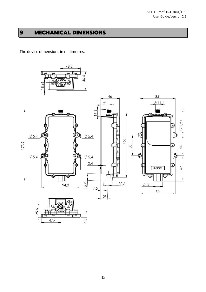## **9 MECHANICAL DIMENSIONS**

The device dimensions in millimetres.

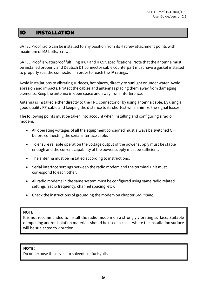## **10 INSTALLATION**

SATEL Proof radio can be installed to any position from its 4 screw attachment points with maximum of M5 bolts/screws.

SATEL Proof is waterproof fulfilling IP67 and IP69K specifications. Note that the antenna must be installed properly and Deutsch DT connector cable counterpart must have a gasket installed to properly seal the connection in order to reach the IP ratings.

Avoid installations to vibrating surfaces, hot places, directly to sunlight or under water. Avoid abrasion and impacts. Protect the cables and antennas placing them away from damaging elements. Keep the antenna in open space and away from interference.

Antenna is installed either directly to the TNC connector or by using antenna cable. By using a good quality RF-cable and keeping the distance to its shortest will minimize the signal losses.

The following points must be taken into account when installing and configuring a radio modem:

- All operating voltages of all the equipment concerned must always be switched OFF before connecting the serial interface cable.
- To ensure reliable operation the voltage output of the power supply must be stable enough and the current capability of the power supply must be sufficient.
- The antenna must be installed according to instructions.
- Serial interface settings between the radio modem and the terminal unit must correspond to each other.
- All radio modems in the same system must be configured using same radio related settings (radio frequency, channel spacing, etc).
- Check the instructions of grounding the modem on chapter *Grounding.*

#### **NOTE!**

It is not recommended to install the radio modem on a strongly vibrating surface. Suitable dampening and/or isolation materials should be used in cases where the installation surface will be subjected to vibration.

#### **NOTE!**

Do not expose the device to solvents or fuels/oils.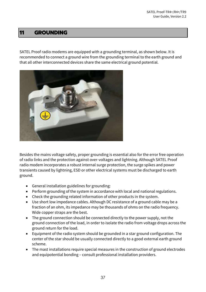## **11 GROUNDING**

SATEL Proof radio modems are equipped with a grounding terminal, as shown below. It is recommended to connect a ground wire from the grounding terminal to the earth ground and that all other interconnected devices share the same electrical ground potential.



Besides the mains voltage safety, proper grounding is essential also for the error free operation of radio links and the protection against over-voltages and lightning. Although SATEL Proof radio modem incorporates a robust internal surge protection, the surge spikes and power transients caused by lightning, ESD or other electrical systems must be discharged to earth ground.

- General installation guidelines for grounding:
- Perform grounding of the system in accordance with local and national regulations.
- Check the grounding related information of other products in the system.
- Use short low impedance cables. Although DC resistance of a ground cable may be a fraction of an ohm, its impedance may be thousands of ohms on the radio frequency. Wide copper straps are the best.
- The ground connection should be connected directly to the power supply, not the ground connection of the load, in order to isolate the radio from voltage drops across the ground return for the load.
- Equipment of the radio system should be grounded in a star ground configuration. The center of the star should be usually connected directly to a good external earth ground scheme.
- The mast installations require special measures in the construction of ground electrodes and equipotential bonding – consult professional installation providers.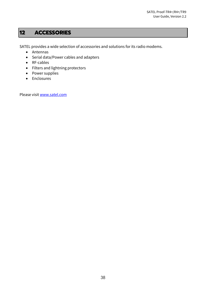## **12 ACCESSORIES**

SATEL provides a wide selection of accessories and solutions for its radio modems.

- Antennas
- Serial data/Power cables and adapters
- RF-cables
- Filters and lightning protectors
- Power supplies
- Enclosures

Please visit [www.satel.com](http://www.satel.com/)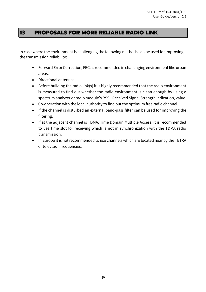## **13 PROPOSALS FOR MORE RELIABLE RADIO LINK**

In case where the environment is challenging the following methods can be used for improving the transmission reliability:

- Forward Error Correction, FEC, is recommended in challenging environment like urban areas.
- Directional antennas.
- Before building the radio link(s) it is highly recommended that the radio environment is measured to find out whether the radio environment is clean enough by using a spectrum analyzer or radio module's RSSI, Received Signal Strength Indication, value.
- Co-operation with the local authority to find out the optimum free radio channel.
- If the channel is disturbed an external band-pass filter can be used for improving the filtering.
- If at the adjacent channel is TDMA, Time Domain Multiple Access, it is recommended to use time slot for receiving which is not in synchronization with the TDMA radio transmission.
- In Europe it is not recommended to use channels which are located near by the TETRA or television frequencies.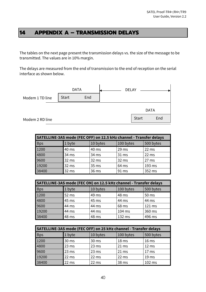## **14 APPENDIX A – TRANSMISSION DELAYS**

The tables on the next page present the transmission delays vs. the size of the message to be transmitted. The values are in 10% margin.

The delays are measured from the end of transmission to the end of reception on the serial interface as shown below.



| SATELLINE-3AS mode (FEC OFF) on 12.5 kHz channel - Transfer delays |        |          |                  |           |  |  |
|--------------------------------------------------------------------|--------|----------|------------------|-----------|--|--|
| <b>Bps</b>                                                         | 1 byte | 10 bytes | 100 bytes        | 500 bytes |  |  |
| 1200                                                               | 40 ms  | 40 ms    | 29 <sub>ms</sub> | 22 ms     |  |  |
| 4800                                                               | 34 ms  | 34 ms    | 31 ms            | 22 ms     |  |  |
| 9600                                                               | 32 ms  | 32 ms    | 32 ms            | 27 ms     |  |  |
| 19200                                                              | 32 ms  | 35 ms    | 64 ms            | 193 ms    |  |  |
| 38400                                                              | 32 ms  | 36 ms    | 91 ms            | 352 ms    |  |  |

| SATELLINE-3AS mode (FEC ON) on 12.5 kHz channel - Transfer delays |        |          |           |           |  |  |
|-------------------------------------------------------------------|--------|----------|-----------|-----------|--|--|
| <b>Bps</b>                                                        | 1 byte | 10 bytes | 100 bytes | 500 bytes |  |  |
| 1200                                                              | 52 ms  | 49 ms    | 48 ms     | 50 ms     |  |  |
| 4800                                                              | 45 ms  | 45 ms    | 44 ms     | 44 ms     |  |  |
| 9600                                                              | 44 ms  | 44 ms    | 68 ms     | 121 ms    |  |  |
| 19200                                                             | 44 ms  | 44 ms    | 104 ms    | 360 ms    |  |  |
| 38400                                                             | 48 ms  | 48 ms    | 132 ms    | 496 ms    |  |  |

| SATELLINE-3AS mode (FEC OFF) on 25 kHz channel - Transfer delays |        |          |                  |                  |  |  |
|------------------------------------------------------------------|--------|----------|------------------|------------------|--|--|
| <b>Bps</b>                                                       | 1 byte | 10 bytes | 100 bytes        | 500 bytes        |  |  |
| 1200                                                             | 30 ms  | 30 ms    | 18 <sub>ms</sub> | 16 <sub>ms</sub> |  |  |
| 4800                                                             | 23 ms  | 23 ms    | 21 ms            | 12 ms            |  |  |
| 9600                                                             | 23 ms  | 23 ms    | 21 ms            | 17 <sub>ms</sub> |  |  |
| 19200                                                            | 22 ms  | 22 ms    | 22 ms            | 19 <sub>ms</sub> |  |  |
| 38400                                                            | 22 ms  | 22 ms    | 38 ms            | 102 ms           |  |  |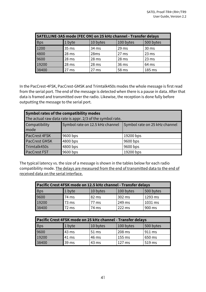| SATELLINE-3AS mode (FEC ON) on 25 kHz channel - Transfer delays |        |                  |                  |           |  |
|-----------------------------------------------------------------|--------|------------------|------------------|-----------|--|
| <b>Bps</b>                                                      | 1 byte | 10 bytes         | 100 bytes        | 500 bytes |  |
| 1200                                                            | 35 ms  | 34 ms            | 29 <sub>ms</sub> | 30 ms     |  |
| 4800                                                            | 28 ms  | 28 <sub>ms</sub> | 27 ms            | 23 ms     |  |
| 9600                                                            | 28 ms  | 28 ms            | 28 ms            | 23 ms     |  |
| 19200                                                           | 28 ms  | 28 <sub>ms</sub> | 36 ms            | 64 ms     |  |
| 38400                                                           | 27 ms  | 27 ms            | 58 ms            | 185 ms    |  |

In the PacCrest-4FSK, PacCrest-GMSK and Trimtalk450s modes the whole message is first read from the serial port. The end of the message is detected when there is a pause in data. After that data is framed and transmitted over the radio. Likewise, the reception is done fully before outputting the message to the serial port.

| Symbol rates of the compatibility modes                                                   |                                                           |           |  |  |  |  |
|-------------------------------------------------------------------------------------------|-----------------------------------------------------------|-----------|--|--|--|--|
|                                                                                           | The actual raw data rate is appr. 2/3 of the symbol rate. |           |  |  |  |  |
| Symbol rate on 12.5 kHz channel<br>Symbol rate on 25 kHz channel<br>Compatibility<br>mode |                                                           |           |  |  |  |  |
| PacCrest 4FSK                                                                             | 9600 bps                                                  | 19200 bps |  |  |  |  |
| PacCrest GMSK                                                                             | 4800 bps                                                  | 9600 bps  |  |  |  |  |
| Trimtalk450s                                                                              | 4800 bps                                                  | 9600 bps  |  |  |  |  |
| <b>PacCrest FST</b>                                                                       | 9600 bps                                                  | 19200 bps |  |  |  |  |

The typical latency vs. the size of a message is shown in the tables below for each radio compatibility mode. The delays are measured from the end of transmitted data to the end of received data on the serial interface.

| Pacific Crest 4FSK mode on 12.5 kHz channel - Transfer delays |        |          |           |           |  |
|---------------------------------------------------------------|--------|----------|-----------|-----------|--|
| <b>Bps</b>                                                    | 1 byte | 10 bytes | 100 bytes | 500 bytes |  |
| 9600                                                          | 74 ms  | 82 ms    | 302 ms    | 1293 ms   |  |
| 19200                                                         | 73 ms  | 77 ms    | 249 ms    | 1031 ms   |  |
| 38400                                                         | 72 ms  | 74 ms    | 222 ms    | 900 ms    |  |

| Pacific Crest 4FSK mode on 25 kHz channel - Transfer delays |        |          |           |           |  |
|-------------------------------------------------------------|--------|----------|-----------|-----------|--|
| <b>Bps</b>                                                  | 1 byte | 10 bytes | 100 bytes | 500 bytes |  |
| 9600                                                        | 43 ms  | 51 ms    | 208 ms    | 911 ms    |  |
| 19200                                                       | 41 ms  | 46 ms    | 155 ms    | 650 ms    |  |
| 38400                                                       | 39 ms  | 43 ms    | $127$ ms  | 519 ms    |  |